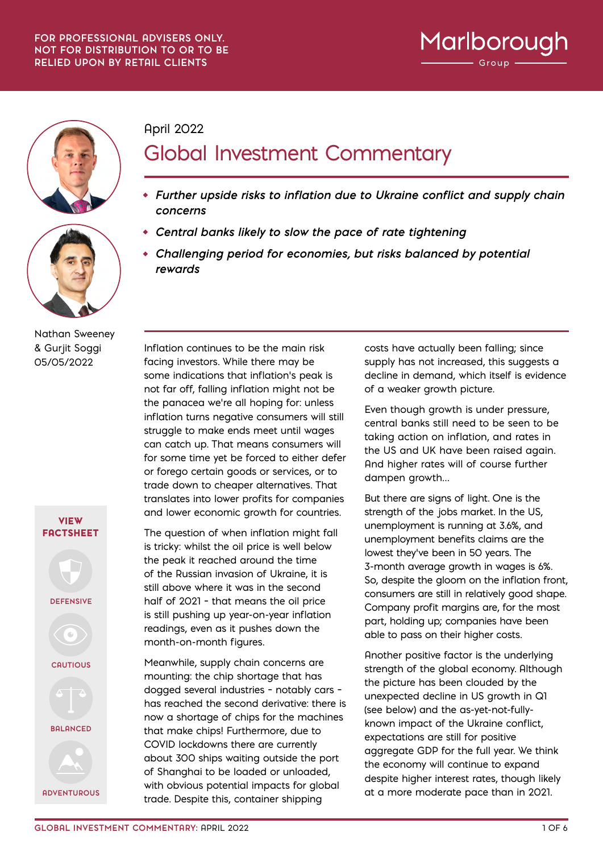





Nathan Sweeney & Gurjit Soggi 05/05/2022



VIEW



April 2022

# Global Investment Commentary

- *Further upside risks to inflation due to Ukraine conflict and supply chain concerns*
- *Central banks likely to slow the pace of rate tightening*
- *Challenging period for economies, but risks balanced by potential rewards*

Inflation continues to be the main risk facing investors. While there may be some indications that inflation's peak is not far off, falling inflation might not be the panacea we're all hoping for: unless inflation turns negative consumers will still struggle to make ends meet until wages can catch up. That means consumers will for some time yet be forced to either defer or forego certain goods or services, or to trade down to cheaper alternatives. That translates into lower profits for companies and lower economic growth for countries.

The question of when inflation might fall is tricky: whilst the oil price is well below the peak it reached around the time of the Russian invasion of Ukraine, it is still above where it was in the second half of 2021 – that means the oil price is still pushing up year-on-year inflation readings, even as it pushes down the month-on-month figures.

Meanwhile, supply chain concerns are mounting: the chip shortage that has dogged several industries – notably cars – has reached the second derivative: there is now a shortage of chips for the machines that make chips! Furthermore, due to COVID lockdowns there are currently about 300 ships waiting outside the port of Shanghai to be loaded or unloaded, with obvious potential impacts for global trade. Despite this, container shipping

costs have actually been falling; since supply has not increased, this suggests a decline in demand, which itself is evidence of a weaker growth picture.

Even though growth is under pressure, central banks still need to be seen to be taking action on inflation, and rates in the US and UK have been raised again. And higher rates will of course further dampen growth…

But there are signs of light. One is the strength of the jobs market. In the US, unemployment is running at 3.6%, and unemployment benefits claims are the lowest they've been in 50 years. The 3-month average growth in wages is 6%. So, despite the gloom on the inflation front, consumers are still in relatively good shape. Company profit margins are, for the most part, holding up; companies have been able to pass on their higher costs.

Another positive factor is the underlying strength of the global economy. Although the picture has been clouded by the unexpected decline in US growth in Q1 (see below) and the as-yet-not-fullyknown impact of the Ukraine conflict, expectations are still for positive aggregate GDP for the full year. We think the economy will continue to expand despite higher interest rates, though likely at a more moderate pace than in 2021.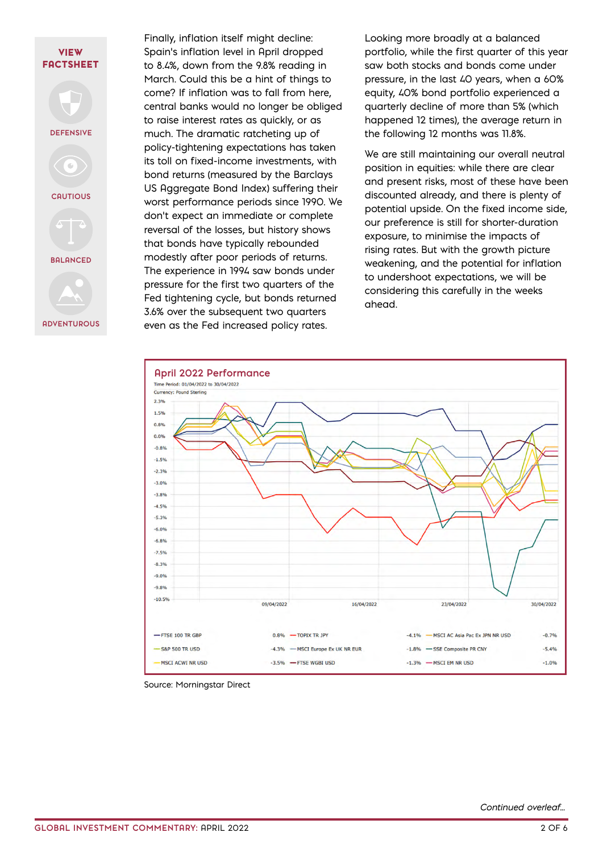

Finally, inflation itself might decline: Spain's inflation level in April dropped to 8.4%, down from the 9.8% reading in March. Could this be a hint of things to come? If inflation was to fall from here, central banks would no longer be obliged to raise interest rates as quickly, or as much. The dramatic ratcheting up of policy-tightening expectations has taken its toll on fixed-income investments, with bond returns (measured by the Barclays US Aggregate Bond Index) suffering their worst performance periods since 1990. We don't expect an immediate or complete reversal of the losses, but history shows that bonds have typically rebounded modestly after poor periods of returns. The experience in 1994 saw bonds under pressure for the first two quarters of the Fed tightening cycle, but bonds returned 3.6% over the subsequent two quarters even as the Fed increased policy rates.

Looking more broadly at a balanced portfolio, while the first quarter of this year saw both stocks and bonds come under pressure, in the last 40 years, when a 60% equity, 40% bond portfolio experienced a quarterly decline of more than 5% (which happened 12 times), the average return in the following 12 months was 11.8%.

We are still maintaining our overall neutral position in equities: while there are clear and present risks, most of these have been discounted already, and there is plenty of potential upside. On the fixed income side, our preference is still for shorter-duration exposure, to minimise the impacts of rising rates. But with the growth picture weakening, and the potential for inflation to undershoot expectations, we will be considering this carefully in the weeks ahead.



Source: Morningstar Direct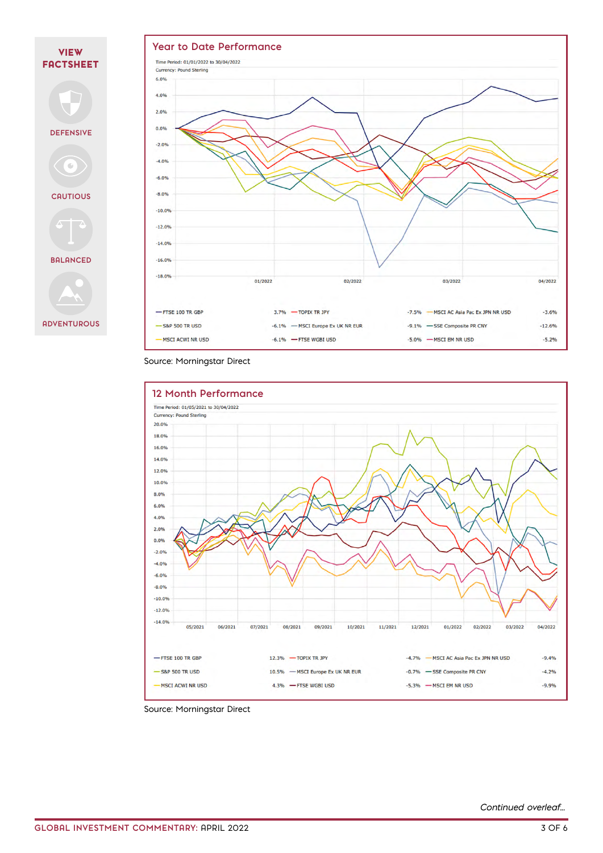



Source: Morningstar Direct



Source: Morningstar Direct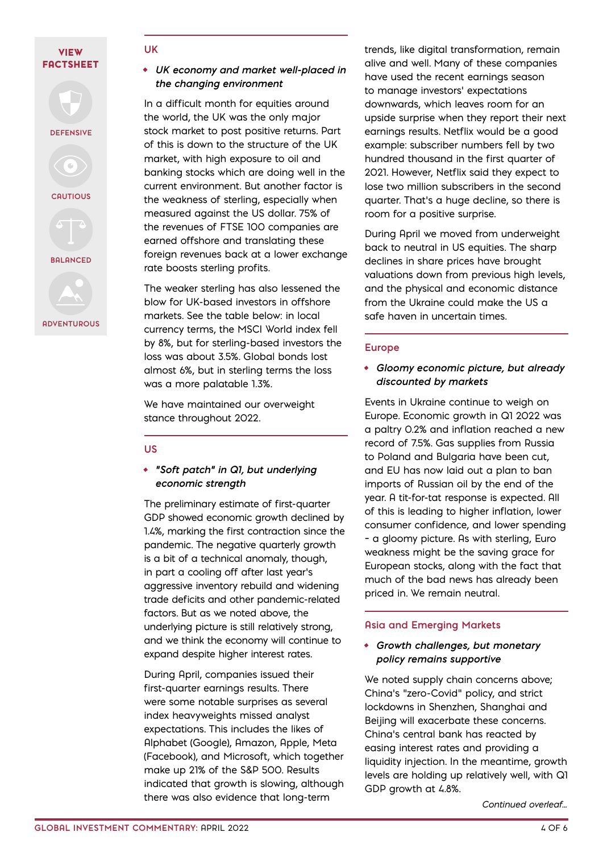#### VIEW FACTSHEET

**DEFENSIVE**

**CAUTIOUS**

**BALANCED**

**ADVENTUROUS**

# • *UK economy and market well-placed in the changing environment*

In a difficult month for equities around the world, the UK was the only major stock market to post positive returns. Part of this is down to the structure of the UK market, with high exposure to oil and banking stocks which are doing well in the current environment. But another factor is the weakness of sterling, especially when measured against the US dollar. 75% of the revenues of FTSE 100 companies are earned offshore and translating these foreign revenues back at a lower exchange rate boosts sterling profits.

The weaker sterling has also lessened the blow for UK-based investors in offshore markets. See the table below: in local currency terms, the MSCI World index fell by 8%, but for sterling-based investors the loss was about 3.5%. Global bonds lost almost 6%, but in sterling terms the loss was a more palatable 1.3%.

We have maintained our overweight stance throughout 2022.

#### **US**

**UK**

## *• "Soft patch" in Q1, but underlying economic strength*

The preliminary estimate of first-quarter GDP showed economic growth declined by 1.4%, marking the first contraction since the pandemic. The negative quarterly growth is a bit of a technical anomaly, though, in part a cooling off after last year's aggressive inventory rebuild and widening trade deficits and other pandemic-related factors. But as we noted above, the underlying picture is still relatively strong, and we think the economy will continue to expand despite higher interest rates.

During April, companies issued their first-quarter earnings results. There were some notable surprises as several index heavyweights missed analyst expectations. This includes the likes of Alphabet (Google), Amazon, Apple, Meta (Facebook), and Microsoft, which together make up 21% of the S&P 500. Results indicated that growth is slowing, although there was also evidence that long-term

trends, like digital transformation, remain alive and well. Many of these companies have used the recent earnings season to manage investors' expectations downwards, which leaves room for an upside surprise when they report their next earnings results. Netflix would be a good example: subscriber numbers fell by two hundred thousand in the first quarter of 2021. However, Netflix said they expect to lose two million subscribers in the second quarter. That's a huge decline, so there is room for a positive surprise.

During April we moved from underweight back to neutral in US equities. The sharp declines in share prices have brought valuations down from previous high levels, and the physical and economic distance from the Ukraine could make the US a safe haven in uncertain times.

## **Europe**

### *• Gloomy economic picture, but already discounted by markets*

Events in Ukraine continue to weigh on Europe. Economic growth in Q1 2022 was a paltry 0.2% and inflation reached a new record of 7.5%. Gas supplies from Russia to Poland and Bulgaria have been cut, and EU has now laid out a plan to ban imports of Russian oil by the end of the year. A tit-for-tat response is expected. All of this is leading to higher inflation, lower consumer confidence, and lower spending – a gloomy picture. As with sterling, Euro weakness might be the saving grace for European stocks, along with the fact that much of the bad news has already been priced in. We remain neutral.

## **Asia and Emerging Markets**

## *• Growth challenges, but monetary policy remains supportive*

We noted supply chain concerns above; China's "zero-Covid" policy, and strict lockdowns in Shenzhen, Shanghai and Beijing will exacerbate these concerns. China's central bank has reacted by easing interest rates and providing a liquidity injection. In the meantime, growth levels are holding up relatively well, with Q1 GDP growth at 4.8%.

*Continued overleaf...*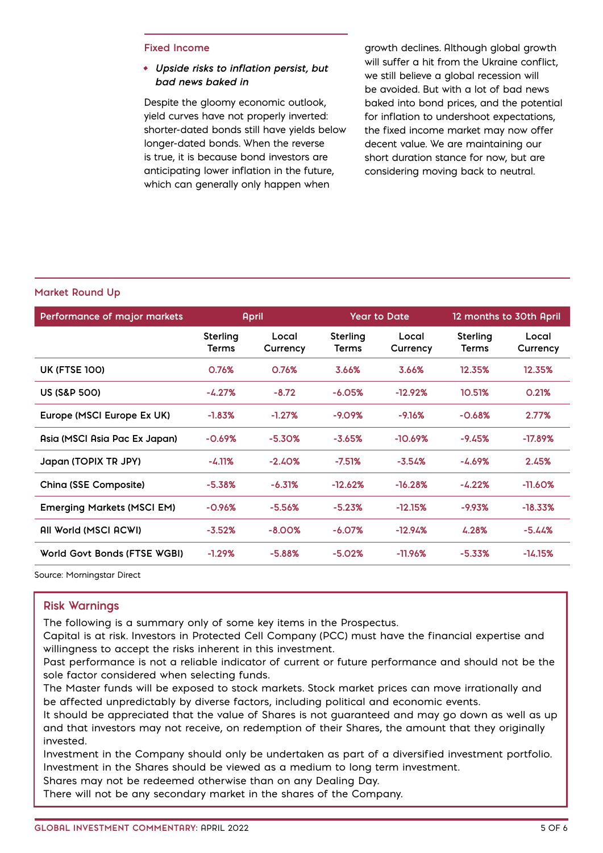#### **Fixed Income**

#### *• Upside risks to inflation persist, but bad news baked in*

Despite the gloomy economic outlook, yield curves have not properly inverted: shorter-dated bonds still have yields below longer-dated bonds. When the reverse is true, it is because bond investors are anticipating lower inflation in the future, which can generally only happen when

growth declines. Although global growth will suffer a hit from the Ukraine conflict, we still believe a global recession will be avoided. But with a lot of bad news baked into bond prices, and the potential for inflation to undershoot expectations, the fixed income market may now offer decent value. We are maintaining our short duration stance for now, but are considering moving back to neutral.

#### **Market Round Up**

| Performance of major markets      | April                           |                   | <b>Year to Date</b>      |                   | 12 months to 30th April         |                   |
|-----------------------------------|---------------------------------|-------------------|--------------------------|-------------------|---------------------------------|-------------------|
|                                   | <b>Sterling</b><br><b>Terms</b> | Local<br>Currency | Sterling<br><b>Terms</b> | Local<br>Currency | <b>Sterling</b><br><b>Terms</b> | Local<br>Currency |
| <b>UK (FTSE 100)</b>              | 0.76%                           | 0.76%             | 3.66%                    | 3.66%             | 12.35%                          | 12.35%            |
| <b>US (S&amp;P 500)</b>           | $-4.27%$                        | $-8.72$           | $-6.05%$                 | $-12.92%$         | 10.51%                          | 0.21%             |
| Europe (MSCI Europe Ex UK)        | $-1.83%$                        | $-1.27%$          | $-9.09%$                 | $-9.16%$          | $-0.68%$                        | 2.77%             |
| Asia (MSCI Asia Pac Ex Japan)     | $-0.69%$                        | $-5.30%$          | $-3.65%$                 | $-10.69%$         | $-9.45%$                        | $-17.89%$         |
| Japan (TOPIX TR JPY)              | $-4.11%$                        | $-2.40%$          | $-7.51%$                 | $-3.54%$          | $-4.69%$                        | 2.45%             |
| <b>China (SSE Composite)</b>      | $-5.38%$                        | $-6.31%$          | $-12.62%$                | $-16.28%$         | $-4.22%$                        | $-11.60%$         |
| <b>Emerging Markets (MSCI EM)</b> | $-0.96%$                        | $-5.56%$          | $-5.23%$                 | $-12.15%$         | $-9.93%$                        | $-18.33%$         |
| All World (MSCI ACWI)             | $-3.52%$                        | $-8.00%$          | $-6.07%$                 | $-12.94%$         | 4.28%                           | $-5.44%$          |
| World Govt Bonds (FTSE WGBI)      | $-1.29%$                        | $-5.88%$          | $-5.02%$                 | $-11.96%$         | $-5.33%$                        | $-14.15%$         |

Source: Morningstar Direct

#### **Risk Warnings**

The following is a summary only of some key items in the Prospectus.

Capital is at risk. Investors in Protected Cell Company (PCC) must have the financial expertise and willingness to accept the risks inherent in this investment.

Past performance is not a reliable indicator of current or future performance and should not be the sole factor considered when selecting funds.

The Master funds will be exposed to stock markets. Stock market prices can move irrationally and be affected unpredictably by diverse factors, including political and economic events.

It should be appreciated that the value of Shares is not guaranteed and may go down as well as up and that investors may not receive, on redemption of their Shares, the amount that they originally invested.

Investment in the Company should only be undertaken as part of a diversified investment portfolio. Investment in the Shares should be viewed as a medium to long term investment.

Shares may not be redeemed otherwise than on any Dealing Day.

There will not be any secondary market in the shares of the Company.